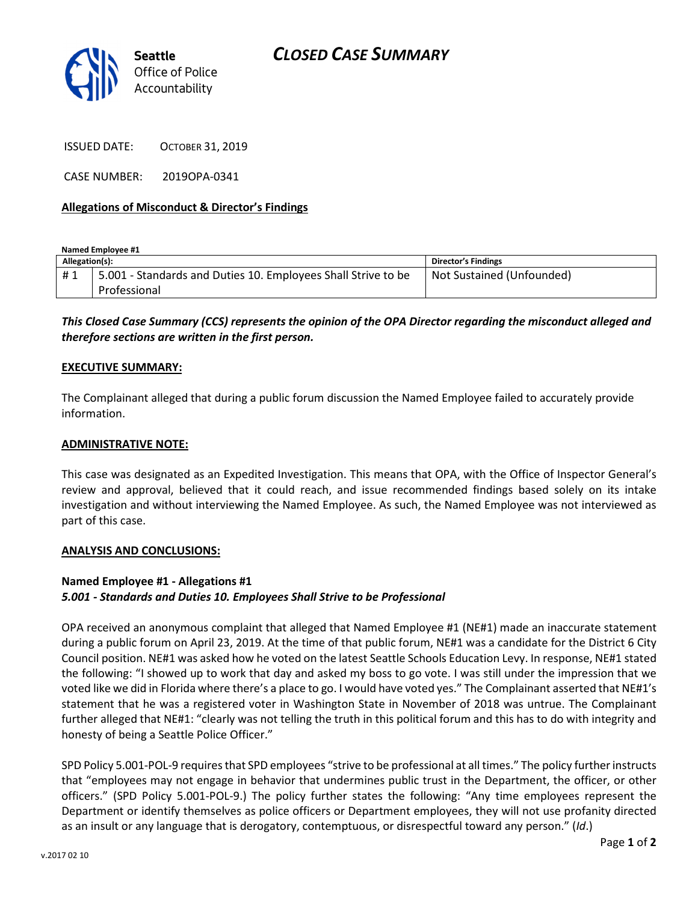

ISSUED DATE: OCTOBER 31, 2019

CASE NUMBER: 2019OPA-0341

## Allegations of Misconduct & Director's Findings

Named Employee #1

| Allegation(s): |                                                                               | <b>Director's Findings</b> |
|----------------|-------------------------------------------------------------------------------|----------------------------|
| #1             | 5.001 - Standards and Duties 10. Employees Shall Strive to be<br>Professional | Not Sustained (Unfounded)  |

This Closed Case Summary (CCS) represents the opinion of the OPA Director regarding the misconduct alleged and therefore sections are written in the first person.

### EXECUTIVE SUMMARY:

The Complainant alleged that during a public forum discussion the Named Employee failed to accurately provide information.

### ADMINISTRATIVE NOTE:

This case was designated as an Expedited Investigation. This means that OPA, with the Office of Inspector General's review and approval, believed that it could reach, and issue recommended findings based solely on its intake investigation and without interviewing the Named Employee. As such, the Named Employee was not interviewed as part of this case.

#### ANALYSIS AND CONCLUSIONS:

# Named Employee #1 - Allegations #1 5.001 - Standards and Duties 10. Employees Shall Strive to be Professional

OPA received an anonymous complaint that alleged that Named Employee #1 (NE#1) made an inaccurate statement during a public forum on April 23, 2019. At the time of that public forum, NE#1 was a candidate for the District 6 City Council position. NE#1 was asked how he voted on the latest Seattle Schools Education Levy. In response, NE#1 stated the following: "I showed up to work that day and asked my boss to go vote. I was still under the impression that we voted like we did in Florida where there's a place to go. I would have voted yes." The Complainant asserted that NE#1's statement that he was a registered voter in Washington State in November of 2018 was untrue. The Complainant further alleged that NE#1: "clearly was not telling the truth in this political forum and this has to do with integrity and honesty of being a Seattle Police Officer."

SPD Policy 5.001-POL-9 requires that SPD employees "strive to be professional at all times." The policy further instructs that "employees may not engage in behavior that undermines public trust in the Department, the officer, or other officers." (SPD Policy 5.001-POL-9.) The policy further states the following: "Any time employees represent the Department or identify themselves as police officers or Department employees, they will not use profanity directed as an insult or any language that is derogatory, contemptuous, or disrespectful toward any person." (Id.)